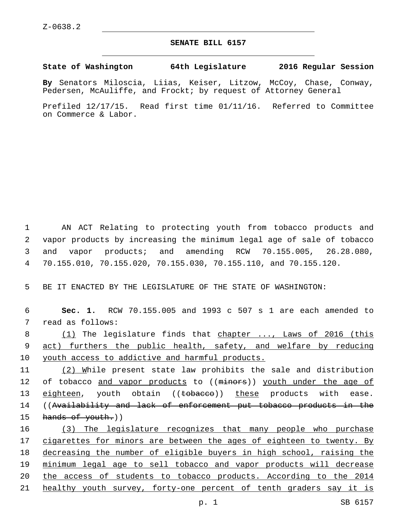## **SENATE BILL 6157**

## **State of Washington 64th Legislature 2016 Regular Session**

**By** Senators Miloscia, Liias, Keiser, Litzow, McCoy, Chase, Conway, Pedersen, McAuliffe, and Frockt; by request of Attorney General

Prefiled 12/17/15. Read first time 01/11/16. Referred to Committee on Commerce & Labor.

 AN ACT Relating to protecting youth from tobacco products and vapor products by increasing the minimum legal age of sale of tobacco and vapor products; and amending RCW 70.155.005, 26.28.080, 70.155.010, 70.155.020, 70.155.030, 70.155.110, and 70.155.120.

5 BE IT ENACTED BY THE LEGISLATURE OF THE STATE OF WASHINGTON:

6 **Sec. 1.** RCW 70.155.005 and 1993 c 507 s 1 are each amended to 7 read as follows:

8 (1) The legislature finds that chapter ..., Laws of 2016 (this 9 act) furthers the public health, safety, and welfare by reducing 10 youth access to addictive and harmful products.

11 (2) While present state law prohibits the sale and distribution 12 of tobacco and vapor products to ((minors)) youth under the age of 13 eighteen, youth obtain ((tobacco)) these products with ease. 14 ((Availability and lack of enforcement put tobacco products in the 15 hands of youth.))

 (3) The legislature recognizes that many people who purchase 17 cigarettes for minors are between the ages of eighteen to twenty. By decreasing the number of eligible buyers in high school, raising the minimum legal age to sell tobacco and vapor products will decrease the access of students to tobacco products. According to the 2014 21 healthy youth survey, forty-one percent of tenth graders say it is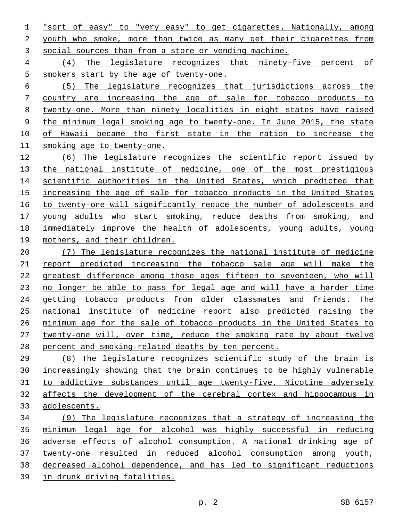"sort of easy" to "very easy" to get cigarettes. Nationally, among youth who smoke, more than twice as many get their cigarettes from social sources than from a store or vending machine.

 (4) The legislature recognizes that ninety-five percent of smokers start by the age of twenty-one.

 (5) The legislature recognizes that jurisdictions across the country are increasing the age of sale for tobacco products to twenty-one. More than ninety localities in eight states have raised the minimum legal smoking age to twenty-one. In June 2015, the state of Hawaii became the first state in the nation to increase the smoking age to twenty-one.

 (6) The legislature recognizes the scientific report issued by 13 the national institute of medicine, one of the most prestigious 14 scientific authorities in the United States, which predicted that increasing the age of sale for tobacco products in the United States to twenty-one will significantly reduce the number of adolescents and young adults who start smoking, reduce deaths from smoking, and immediately improve the health of adolescents, young adults, young mothers, and their children.

 (7) The legislature recognizes the national institute of medicine report predicted increasing the tobacco sale age will make the greatest difference among those ages fifteen to seventeen, who will no longer be able to pass for legal age and will have a harder time getting tobacco products from older classmates and friends. The national institute of medicine report also predicted raising the minimum age for the sale of tobacco products in the United States to twenty-one will, over time, reduce the smoking rate by about twelve percent and smoking-related deaths by ten percent.

 (8) The legislature recognizes scientific study of the brain is increasingly showing that the brain continues to be highly vulnerable to addictive substances until age twenty-five. Nicotine adversely affects the development of the cerebral cortex and hippocampus in adolescents.

 (9) The legislature recognizes that a strategy of increasing the minimum legal age for alcohol was highly successful in reducing adverse effects of alcohol consumption. A national drinking age of twenty-one resulted in reduced alcohol consumption among youth, decreased alcohol dependence, and has led to significant reductions in drunk driving fatalities.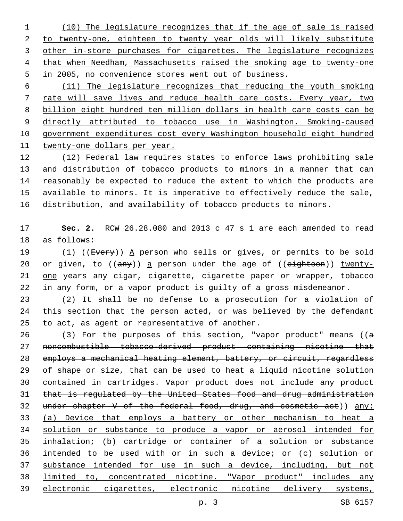(10) The legislature recognizes that if the age of sale is raised to twenty-one, eighteen to twenty year olds will likely substitute 3 other in-store purchases for cigarettes. The legislature recognizes that when Needham, Massachusetts raised the smoking age to twenty-one in 2005, no convenience stores went out of business.

 (11) The legislature recognizes that reducing the youth smoking rate will save lives and reduce health care costs. Every year, two billion eight hundred ten million dollars in health care costs can be directly attributed to tobacco use in Washington. Smoking-caused government expenditures cost every Washington household eight hundred twenty-one dollars per year.

12 (12) Federal law requires states to enforce laws prohibiting sale and distribution of tobacco products to minors in a manner that can reasonably be expected to reduce the extent to which the products are available to minors. It is imperative to effectively reduce the sale, distribution, and availability of tobacco products to minors.

 **Sec. 2.** RCW 26.28.080 and 2013 c 47 s 1 are each amended to read 18 as follows:

19 (1) ((Every)) A person who sells or gives, or permits to be sold 20 or given, to  $((any))$  a person under the age of  $((eighteen))$  twenty- one years any cigar, cigarette, cigarette paper or wrapper, tobacco in any form, or a vapor product is guilty of a gross misdemeanor.

 (2) It shall be no defense to a prosecution for a violation of this section that the person acted, or was believed by the defendant 25 to act, as agent or representative of another.

 (3) For the purposes of this section, "vapor product" means ((a noncombustible tobacco-derived product containing nicotine that employs a mechanical heating element, battery, or circuit, regardless of shape or size, that can be used to heat a liquid nicotine solution contained in cartridges. Vapor product does not include any product that is regulated by the United States food and drug administration 32 under chapter V of the federal food, drug, and cosmetic act)) any: (a) Device that employs a battery or other mechanism to heat a solution or substance to produce a vapor or aerosol intended for inhalation; (b) cartridge or container of a solution or substance intended to be used with or in such a device; or (c) solution or substance intended for use in such a device, including, but not limited to, concentrated nicotine. "Vapor product" includes any electronic cigarettes, electronic nicotine delivery systems,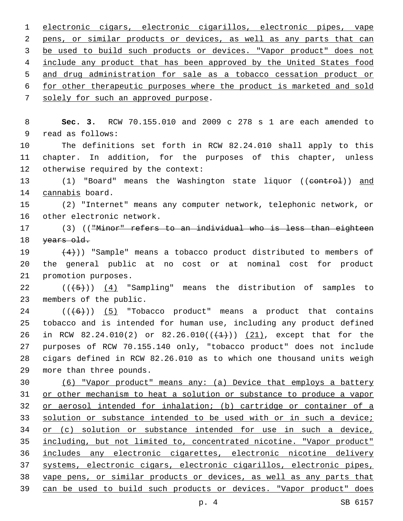electronic cigars, electronic cigarillos, electronic pipes, vape pens, or similar products or devices, as well as any parts that can 3 be used to build such products or devices. "Vapor product" does not include any product that has been approved by the United States food and drug administration for sale as a tobacco cessation product or for other therapeutic purposes where the product is marketed and sold 7 solely for such an approved purpose.

8 **Sec. 3.** RCW 70.155.010 and 2009 c 278 s 1 are each amended to 9 read as follows:

10 The definitions set forth in RCW 82.24.010 shall apply to this 11 chapter. In addition, for the purposes of this chapter, unless 12 otherwise required by the context:

13 (1) "Board" means the Washington state liquor ((control)) and 14 cannabis board.

15 (2) "Internet" means any computer network, telephonic network, or 16 other electronic network.

17 (3) (("Minor" refers to an individual who is less than eighteen 18 years old.

19  $(4)$ )) "Sample" means a tobacco product distributed to members of 20 the general public at no cost or at nominal cost for product 21 promotion purposes.

22  $((+5+))$   $(4)$  "Sampling" means the distribution of samples to 23 members of the public.

 ( $(\overline{6})$ ) (5) "Tobacco product" means a product that contains tobacco and is intended for human use, including any product defined 26 in RCW 82.24.010(2) or 82.26.010( $(\frac{1}{(1)})$  (21), except that for the purposes of RCW 70.155.140 only, "tobacco product" does not include cigars defined in RCW 82.26.010 as to which one thousand units weigh 29 more than three pounds.

 (6) "Vapor product" means any: (a) Device that employs a battery or other mechanism to heat a solution or substance to produce a vapor or aerosol intended for inhalation; (b) cartridge or container of a 33 solution or substance intended to be used with or in such a device; or (c) solution or substance intended for use in such a device, including, but not limited to, concentrated nicotine. "Vapor product" includes any electronic cigarettes, electronic nicotine delivery systems, electronic cigars, electronic cigarillos, electronic pipes, vape pens, or similar products or devices, as well as any parts that can be used to build such products or devices. "Vapor product" does

p. 4 SB 6157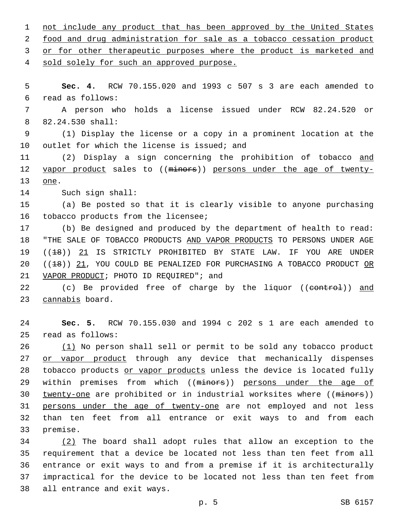1 not include any product that has been approved by the United States 2 food and drug administration for sale as a tobacco cessation product 3 or for other therapeutic purposes where the product is marketed and 4 sold solely for such an approved purpose. 5 **Sec. 4.** RCW 70.155.020 and 1993 c 507 s 3 are each amended to read as follows:6 7 A person who holds a license issued under RCW 82.24.520 or 82.24.530 shall:8 9 (1) Display the license or a copy in a prominent location at the 10 outlet for which the license is issued; and 11 (2) Display a sign concerning the prohibition of tobacco and 12 vapor product sales to ((minors)) persons under the age of twenty-13 one. 14 Such sign shall: 15 (a) Be posted so that it is clearly visible to anyone purchasing 16 tobacco products from the licensee; 17 (b) Be designed and produced by the department of health to read: 18 "THE SALE OF TOBACCO PRODUCTS AND VAPOR PRODUCTS TO PERSONS UNDER AGE 19 ((<del>18</del>)) 21 IS STRICTLY PROHIBITED BY STATE LAW. IF YOU ARE UNDER 20 ((18)) 21, YOU COULD BE PENALIZED FOR PURCHASING A TOBACCO PRODUCT OR 21 VAPOR PRODUCT; PHOTO ID REQUIRED"; and 22 (c) Be provided free of charge by the liquor ((control)) and 23 cannabis board. 24 **Sec. 5.** RCW 70.155.030 and 1994 c 202 s 1 are each amended to read as follows:25 26 (1) No person shall sell or permit to be sold any tobacco product 27 or vapor product through any device that mechanically dispenses 28 tobacco products or vapor products unless the device is located fully 29 within premises from which ((minors)) persons under the age of 30 twenty-one are prohibited or in industrial worksites where ((minors)) 31 persons under the age of twenty-one are not employed and not less 32 than ten feet from all entrance or exit ways to and from each 33 premise. 34 (2) The board shall adopt rules that allow an exception to the 35 requirement that a device be located not less than ten feet from all

36 entrance or exit ways to and from a premise if it is architecturally 37 impractical for the device to be located not less than ten feet from 38 all entrance and exit ways.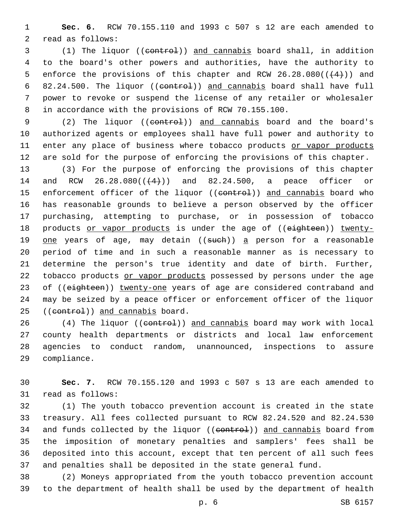1 **Sec. 6.** RCW 70.155.110 and 1993 c 507 s 12 are each amended to 2 read as follows:

 (1) The liquor ((control)) and cannabis board shall, in addition to the board's other powers and authorities, have the authority to 5 enforce the provisions of this chapter and RCW  $26.28.080((\leftarrow 4+))$  and 6 82.24.500. The liquor ((control)) and cannabis board shall have full power to revoke or suspend the license of any retailer or wholesaler in accordance with the provisions of RCW 70.155.100.

9 (2) The liquor ((control)) and cannabis board and the board's authorized agents or employees shall have full power and authority to enter any place of business where tobacco products or vapor products are sold for the purpose of enforcing the provisions of this chapter.

13 (3) For the purpose of enforcing the provisions of this chapter 14 and RCW 26.28.080(( $(4)$ )) and 82.24.500, a peace officer or 15 enforcement officer of the liquor ((eontrol)) and cannabis board who 16 has reasonable grounds to believe a person observed by the officer 17 purchasing, attempting to purchase, or in possession of tobacco 18 products or vapor products is under the age of ((eighteen)) twenty-19 one years of age, may detain ((such)) a person for a reasonable 20 period of time and in such a reasonable manner as is necessary to 21 determine the person's true identity and date of birth. Further, 22 tobacco products or vapor products possessed by persons under the age 23 of ((eighteen)) twenty-one years of age are considered contraband and 24 may be seized by a peace officer or enforcement officer of the liquor 25 ((control)) and cannabis board.

26 (4) The liquor ((control)) and cannabis board may work with local 27 county health departments or districts and local law enforcement 28 agencies to conduct random, unannounced, inspections to assure 29 compliance.

30 **Sec. 7.** RCW 70.155.120 and 1993 c 507 s 13 are each amended to 31 read as follows:

 (1) The youth tobacco prevention account is created in the state treasury. All fees collected pursuant to RCW 82.24.520 and 82.24.530 34 and funds collected by the liquor ((eontrol)) and cannabis board from the imposition of monetary penalties and samplers' fees shall be deposited into this account, except that ten percent of all such fees and penalties shall be deposited in the state general fund.

38 (2) Moneys appropriated from the youth tobacco prevention account 39 to the department of health shall be used by the department of health